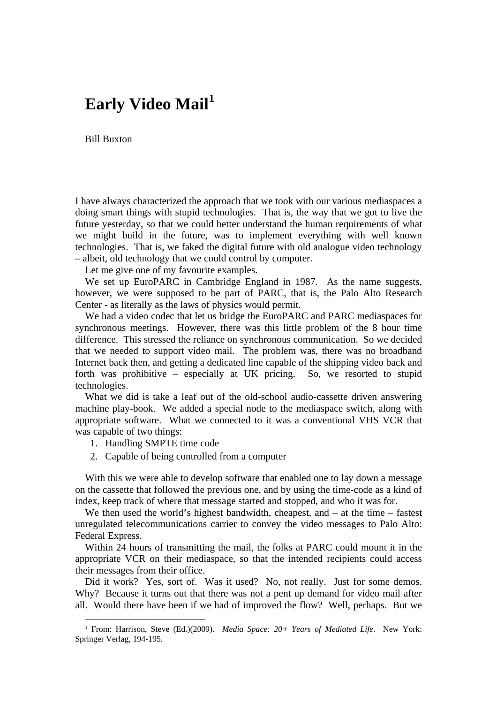## **Early Video Mail[1](#page-0-0)**

Bill Buxton

I have always characterized the approach that we took with our various mediaspaces a doing smart things with stupid technologies. That is, the way that we got to live the future yesterday, so that we could better understand the human requirements of what we might build in the future, was to implement everything with well known technologies. That is, we faked the digital future with old analogue video technology – albeit, old technology that we could control by computer.

Let me give one of my favourite examples.

We set up EuroPARC in Cambridge England in 1987. As the name suggests, however, we were supposed to be part of PARC, that is, the Palo Alto Research Center - as literally as the laws of physics would permit.

We had a video codec that let us bridge the EuroPARC and PARC mediaspaces for synchronous meetings. However, there was this little problem of the 8 hour time difference. This stressed the reliance on synchronous communication. So we decided that we needed to support video mail. The problem was, there was no broadband Internet back then, and getting a dedicated line capable of the shipping video back and forth was prohibitive – especially at UK pricing. So, we resorted to stupid technologies.

What we did is take a leaf out of the old-school audio-cassette driven answering machine play-book. We added a special node to the mediaspace switch, along with appropriate software. What we connected to it was a conventional VHS VCR that was capable of two things:

1. Handling SMPTE time code

l

2. Capable of being controlled from a computer

With this we were able to develop software that enabled one to lay down a message on the cassette that followed the previous one, and by using the time-code as a kind of index, keep track of where that message started and stopped, and who it was for.

We then used the world's highest bandwidth, cheapest, and – at the time – fastest unregulated telecommunications carrier to convey the video messages to Palo Alto: Federal Express.

Within 24 hours of transmitting the mail, the folks at PARC could mount it in the appropriate VCR on their mediaspace, so that the intended recipients could access their messages from their office.

Did it work? Yes, sort of. Was it used? No, not really. Just for some demos. Why? Because it turns out that there was not a pent up demand for video mail after all. Would there have been if we had of improved the flow? Well, perhaps. But we

<span id="page-0-0"></span><sup>1</sup> From: Harrison, Steve (Ed.)(2009). *Media Space: 20+ Years of Mediated Life*. New York: Springer Verlag, 194-195.